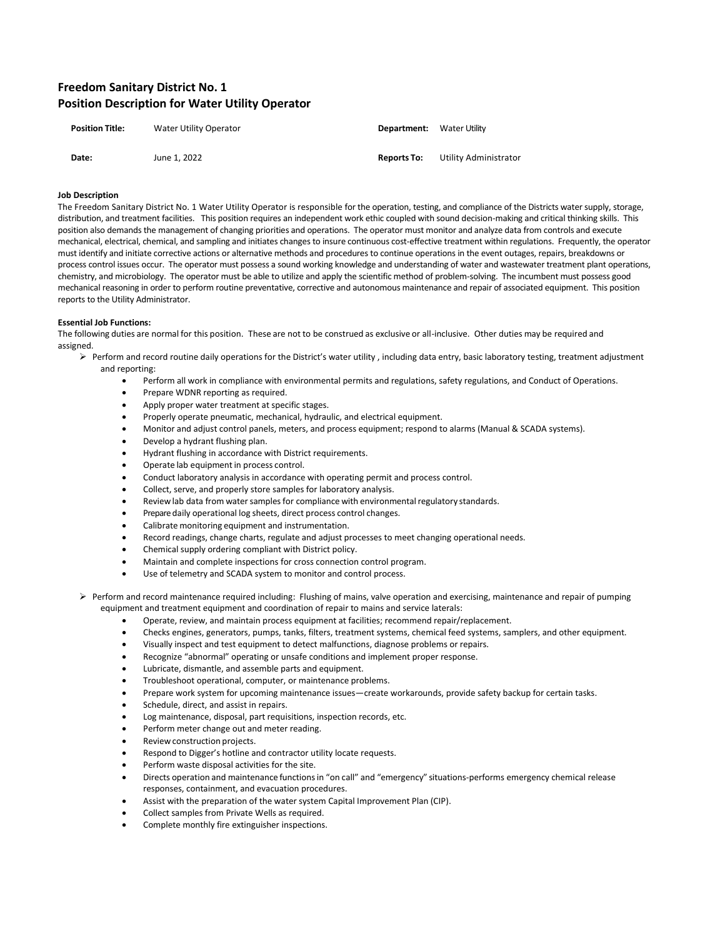# **Freedom Sanitary District No. 1 Position Description for Water Utility Operator**

| <b>Position Title:</b> | Water Utility Operator | <b>Department:</b> Water Utility |                       |
|------------------------|------------------------|----------------------------------|-----------------------|
| Date:                  | June 1. 2022           | <b>Reports To:</b>               | Utility Administrator |

#### **Job Description**

The Freedom Sanitary District No. 1 Water Utility Operator is responsible for the operation, testing, and compliance of the Districts water supply, storage, distribution, and treatment facilities. This position requires an independent work ethic coupled with sound decision-making and critical thinking skills. This position also demands the management of changing priorities and operations. The operator must monitor and analyze data from controls and execute mechanical, electrical, chemical, and sampling and initiates changes to insure continuous cost-effective treatment within regulations. Frequently, the operator must identify and initiate corrective actions or alternative methods and procedures to continue operations in the event outages, repairs, breakdowns or process control issues occur. The operator must possess a sound working knowledge and understanding of water and wastewater treatment plant operations, chemistry, and microbiology. The operator must be able to utilize and apply the scientific method of problem-solving. The incumbent must possess good mechanical reasoning in order to perform routine preventative, corrective and autonomous maintenance and repair of associated equipment. This position reports to the Utility Administrator.

## **Essential Job Functions:**

The following duties are normal for this position. These are not to be construed as exclusive or all-inclusive. Other duties may be required and assigned.

- ➢ Perform and record routine daily operations for the District's water utility , including data entry, basic laboratory testing, treatment adjustment and reporting:
	- Perform all work in compliance with environmental permits and regulations, safety regulations, and Conduct of Operations.
	- Prepare WDNR reporting as required.
	- Apply proper water treatment at specific stages.
	- Properly operate pneumatic, mechanical, hydraulic, and electrical equipment.
	- Monitor and adjust control panels, meters, and process equipment; respond to alarms (Manual & SCADA systems).
	- Develop a hydrant flushing plan.
	- Hydrant flushing in accordance with District requirements.
	- Operate lab equipment in process control.
	- Conduct laboratory analysis in accordance with operating permit and process control.
	- Collect, serve, and properly store samples for laboratory analysis.
	- Review lab data from water samples for compliance with environmental regulatory standards.
	- Prepare daily operational log sheets, direct process control changes.
	- Calibrate monitoring equipment and instrumentation.
	- Record readings, change charts, regulate and adjust processes to meet changing operational needs.
	- Chemical supply ordering compliant with District policy.
	- Maintain and complete inspections for cross connection control program.
	- Use of telemetry and SCADA system to monitor and control process.
- ➢ Perform and record maintenance required including: Flushing of mains, valve operation and exercising, maintenance and repair of pumping equipment and treatment equipment and coordination of repair to mains and service laterals:
	- Operate, review, and maintain process equipment at facilities; recommend repair/replacement.
	- Checks engines, generators, pumps, tanks, filters, treatment systems, chemical feed systems, samplers, and other equipment.
	- Visually inspect and test equipment to detect malfunctions, diagnose problems or repairs.
	- Recognize "abnormal" operating or unsafe conditions and implement proper response.
	- Lubricate, dismantle, and assemble parts and equipment.
	- Troubleshoot operational, computer, or maintenance problems.
	- Prepare work system for upcoming maintenance issues—create workarounds, provide safety backup for certain tasks.
	- Schedule, direct, and assist in repairs.
	- Log maintenance, disposal, part requisitions, inspection records, etc.
	- Perform meter change out and meter reading.
	- Review construction projects.
	- Respond to Digger's hotline and contractor utility locate requests.
	- Perform waste disposal activities for the site.
	- Directs operation and maintenance functions in "on call" and "emergency" situations-performs emergency chemical release responses, containment, and evacuation procedures.
	- Assist with the preparation of the water system Capital Improvement Plan (CIP).
	- Collect samples from Private Wells as required.
	- Complete monthly fire extinguisher inspections.